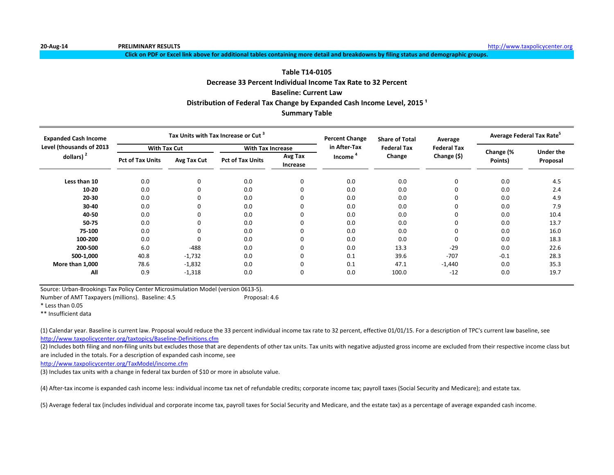**Click on PDF or Excel link above for additional tables containing more detail and breakdowns by filing status and demographic groups.**

# **Decrease 33 Percent Individual Income Tax Rate to 32 Percent Table T14-0105**

# **Baseline: Current Law**

Distribution of Federal Tax Change by Expanded Cash Income Level, 2015<sup>1</sup>

# **Summary Table**

| <b>Expanded Cash Income</b> |                         |             | Tax Units with Tax Increase or Cut <sup>3</sup> |                     | <b>Percent Change</b> | <b>Share of Total</b> | Average            | Average Federal Tax Rate <sup>5</sup> |                  |  |
|-----------------------------|-------------------------|-------------|-------------------------------------------------|---------------------|-----------------------|-----------------------|--------------------|---------------------------------------|------------------|--|
| Level (thousands of 2013    | <b>With Tax Cut</b>     |             | <b>With Tax Increase</b>                        |                     | in After-Tax          | <b>Federal Tax</b>    | <b>Federal Tax</b> |                                       | <b>Under the</b> |  |
| dollars) $2$                | <b>Pct of Tax Units</b> | Avg Tax Cut | <b>Pct of Tax Units</b>                         | Avg Tax<br>Increase | Income                | Change                | Change (\$)        | Change (%<br>Points)                  | Proposal         |  |
| Less than 10                | 0.0                     | 0           | 0.0                                             | 0                   | 0.0                   | 0.0                   | $\mathbf 0$        | 0.0                                   | 4.5              |  |
| $10 - 20$                   | 0.0                     | 0           | 0.0                                             | $\Omega$            | 0.0                   | 0.0                   | 0                  | 0.0                                   | 2.4              |  |
| 20-30                       | 0.0                     | 0           | 0.0                                             |                     | 0.0                   | 0.0                   | 0                  | 0.0                                   | 4.9              |  |
| 30-40                       | 0.0                     | 0           | 0.0                                             |                     | 0.0                   | 0.0                   | 0                  | 0.0                                   | 7.9              |  |
| 40-50                       | 0.0                     | 0           | 0.0                                             |                     | 0.0                   | 0.0                   | $\Omega$           | 0.0                                   | 10.4             |  |
| 50-75                       | 0.0                     | 0           | 0.0                                             |                     | 0.0                   | 0.0                   | $\Omega$           | 0.0                                   | 13.7             |  |
| 75-100                      | 0.0                     | 0           | 0.0                                             | $\Omega$            | 0.0                   | 0.0                   | $\Omega$           | 0.0                                   | 16.0             |  |
| 100-200                     | 0.0                     | 0           | 0.0                                             | $\Omega$            | 0.0                   | 0.0                   | $\Omega$           | 0.0                                   | 18.3             |  |
| 200-500                     | 6.0                     | $-488$      | 0.0                                             | $\Omega$            | 0.0                   | 13.3                  | $-29$              | 0.0                                   | 22.6             |  |
| 500-1,000                   | 40.8                    | $-1,732$    | 0.0                                             | $\Omega$            | 0.1                   | 39.6                  | $-707$             | $-0.1$                                | 28.3             |  |
| More than 1,000             | 78.6                    | $-1,832$    | 0.0                                             | $\Omega$            | 0.1                   | 47.1                  | $-1,440$           | 0.0                                   | 35.3             |  |
| All                         | 0.9                     | $-1,318$    | 0.0                                             | 0                   | 0.0                   | 100.0                 | $-12$              | 0.0                                   | 19.7             |  |

Source: Urban-Brookings Tax Policy Center Microsimulation Model (version 0613-5).

Number of AMT Taxpayers (millions). Baseline: 4.5 Proposal: 4.6

\* Less than 0.05

\*\* Insufficient data

<http://www.taxpolicycenter.org/taxtopics/Baseline-Definitions.cfm> (1) Calendar year. Baseline is current law. Proposal would reduce the 33 percent individual income tax rate to 32 percent, effective 01/01/15. For a description of TPC's current law baseline, see

(2) Includes both filing and non-filing units but excludes those that are dependents of other tax units. Tax units with negative adjusted gross income are excluded from their respective income class but are included in the totals. For a description of expanded cash income, see

<http://www.taxpolicycenter.org/TaxModel/income.cfm>

(3) Includes tax units with a change in federal tax burden of \$10 or more in absolute value.

(4) After-tax income is expanded cash income less: individual income tax net of refundable credits; corporate income tax; payroll taxes (Social Security and Medicare); and estate tax.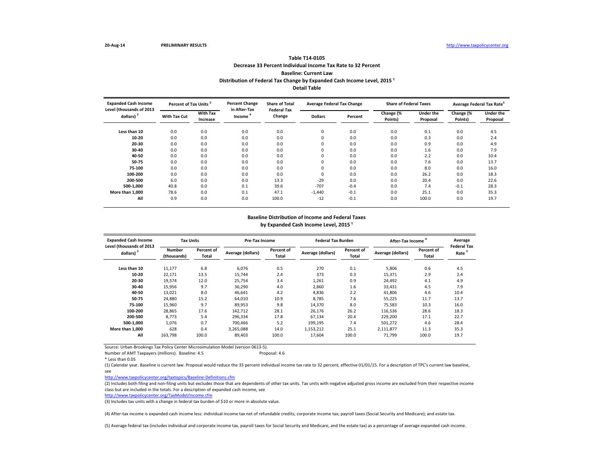### **Decrease 33 Percent Individual Income Tax Rate to 32 Percent Baseline: Current Law Table T14-0105** Distribution of Federal Tax Change by Expanded Cash Income Level, 2015<sup>1</sup> **Detail Table**

| <b>Expanded Cash Income</b><br>Level (thousands of 2013 | Percent of Tax Units <sup>3</sup> |                             | <b>Percent Change</b><br>in After-Tax | <b>Share of Total</b><br><b>Federal Tax</b> | <b>Average Federal Tax Change</b> |         | <b>Share of Federal Taxes</b> |                              | Average Federal Tax Rate <sup>5</sup> |                              |
|---------------------------------------------------------|-----------------------------------|-----------------------------|---------------------------------------|---------------------------------------------|-----------------------------------|---------|-------------------------------|------------------------------|---------------------------------------|------------------------------|
| dollars) $2$                                            | <b>With Tax Cut</b>               | <b>With Tax</b><br>Increase | Income                                | Change                                      | <b>Dollars</b>                    | Percent | Change (%<br>Points)          | <b>Under the</b><br>Proposal | Change (%<br>Points)                  | <b>Under the</b><br>Proposal |
| Less than 10                                            | 0.0                               | 0.0                         | 0.0                                   | 0.0                                         | 0                                 | 0.0     | 0.0                           | 0.1                          | 0.0                                   | 4.5                          |
| 10-20                                                   | 0.0                               | 0.0                         | 0.0                                   | 0.0                                         | 0                                 | 0.0     | 0.0                           | 0.3                          | 0.0                                   | 2.4                          |
| 20-30                                                   | 0.0                               | 0.0                         | 0.0                                   | 0.0                                         | 0                                 | 0.0     | 0.0                           | 0.9                          | 0.0                                   | 4.9                          |
| 30-40                                                   | 0.0                               | 0.0                         | 0.0                                   | 0.0                                         | 0                                 | 0.0     | 0.0                           | 1.6                          | 0.0                                   | 7.9                          |
| 40-50                                                   | 0.0                               | 0.0                         | 0.0                                   | 0.0                                         | 0                                 | 0.0     | 0.0                           | 2.2                          | 0.0                                   | 10.4                         |
| 50-75                                                   | 0.0                               | 0.0                         | 0.0                                   | 0.0                                         | 0                                 | 0.0     | 0.0                           | 7.6                          | 0.0                                   | 13.7                         |
| 75-100                                                  | 0.0                               | 0.0                         | 0.0                                   | 0.0                                         | 0                                 | 0.0     | 0.0                           | 8.0                          | 0.0                                   | 16.0                         |
| 100-200                                                 | 0.0                               | 0.0                         | 0.0                                   | 0.0                                         | 0                                 | 0.0     | 0.0                           | 26.2                         | 0.0                                   | 18.3                         |
| 200-500                                                 | 6.0                               | 0.0                         | 0.0                                   | 13.3                                        | $-29$                             | 0.0     | 0.0                           | 20.4                         | 0.0                                   | 22.6                         |
| 500-1,000                                               | 40.8                              | 0.0                         | 0.1                                   | 39.6                                        | $-707$                            | $-0.4$  | 0.0                           | 7.4                          | $-0.1$                                | 28.3                         |
| More than 1,000                                         | 78.6                              | 0.0                         | 0.1                                   | 47.1                                        | $-1,440$                          | $-0.1$  | 0.0                           | 25.1                         | 0.0                                   | 35.3                         |
| All                                                     | 0.9                               | 0.0                         | 0.0                                   | 100.0                                       | $-12$                             | $-0.1$  | 0.0                           | 100.0                        | 0.0                                   | 19.7                         |

#### **Baseline Distribution of Income and Federal Taxes** by Expanded Cash Income Level, 2015<sup>1</sup>

| <b>Expanded Cash Income</b><br>Level (thousands of 2013 | <b>Tax Units</b>             |                     | Pre-Tax Income    |                     | <b>Federal Tax Burden</b> |                                   | After-Tax Income  | Average<br><b>Federal Tax</b> |                   |
|---------------------------------------------------------|------------------------------|---------------------|-------------------|---------------------|---------------------------|-----------------------------------|-------------------|-------------------------------|-------------------|
| dollars) $2$                                            | <b>Number</b><br>(thousands) | Percent of<br>Total | Average (dollars) | Percent of<br>Total | Average (dollars)         | <b>Percent of</b><br><b>Total</b> | Average (dollars) | Percent of<br>Total           | Rate <sup>5</sup> |
| Less than 10                                            | 11,177                       | 6.8                 | 6.076             | 0.5                 | 270                       | 0.1                               | 5,806             | 0.6                           | 4.5               |
| 10-20                                                   | 22,171                       | 13.5                | 15,744            | 2.4                 | 373                       | 0.3                               | 15,371            | 2.9                           | 2.4               |
| 20-30                                                   | 19,574                       | 12.0                | 25,754            | 3.4                 | 1,261                     | 0.9                               | 24,492            | 4.1                           | 4.9               |
| 30-40                                                   | 15,956                       | 9.7                 | 36.290            | 4.0                 | 2,860                     | 1.6                               | 33,431            | 4.5                           | 7.9               |
| 40-50                                                   | 13,021                       | 8.0                 | 46.641            | 4.2                 | 4,836                     | 2.2                               | 41,806            | 4.6                           | 10.4              |
| 50-75                                                   | 24,880                       | 15.2                | 64,010            | 10.9                | 8,785                     | 7.6                               | 55,225            | 11.7                          | 13.7              |
| 75-100                                                  | 15,960                       | 9.7                 | 89,953            | 9.8                 | 14,370                    | 8.0                               | 75,583            | 10.3                          | 16.0              |
| 100-200                                                 | 28,865                       | 17.6                | 142,712           | 28.1                | 26,176                    | 26.2                              | 116,536           | 28.6                          | 18.3              |
| 200-500                                                 | 8,773                        | 5.4                 | 296,334           | 17.8                | 67,134                    | 20.4                              | 229,200           | 17.1                          | 22.7              |
| 500-1.000                                               | 1,076                        | 0.7                 | 700.466           | 5.2                 | 199,195                   | 7.4                               | 501,272           | 4.6                           | 28.4              |
| More than 1.000                                         | 628                          | 0.4                 | 3,265,088         | 14.0                | 1,153,212                 | 25.1                              | 2,111,877         | 11.3                          | 35.3              |
| All                                                     | 163.798                      | 100.0               | 89,403            | 100.0               | 17,604                    | 100.0                             | 71.799            | 100.0                         | 19.7              |

Source: Urban-Brookings Tax Policy Center Microsimulation Model (version 0613-5).

Number of AMT Taxpayers (millions). Baseline: 4.5 Proposal: 4.6

\* Less than 0.05

(1) Calendar year. Baseline is current law. Proposal would reduce the 33 percent individual income tax rate to 32 percent, effective 01/01/15. For a description of TPC's current law baseline, see

<http://www.taxpolicycenter.org/taxtopics/Baseline-Definitions.cfm>

(2) Includes both filing and non-filing units but excludes those that are dependents of other tax units. Tax units with negative adjusted gross income are excluded from their respective income class but are included in the totals. For a description of expanded cash income, see

<http://www.taxpolicycenter.org/TaxModel/income.cfm>

(3) Includes tax units with a change in federal tax burden of \$10 or more in absolute value.

(4) After-tax income is expanded cash income less: individual income tax net of refundable credits; corporate income tax; payroll taxes (Social Security and Medicare); and estate tax.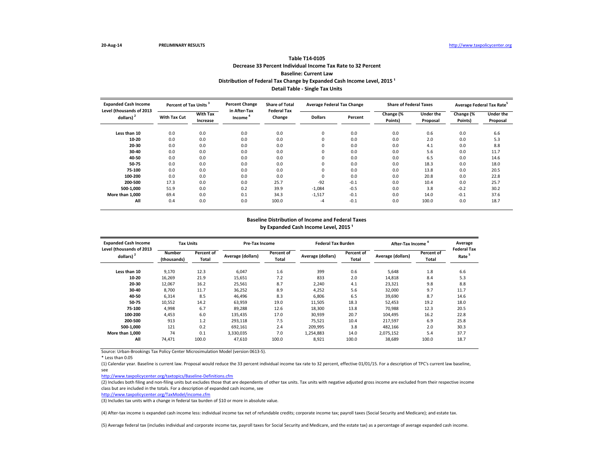# **Decrease 33 Percent Individual Income Tax Rate to 32 Percent Baseline: Current Law Table T14-0105** Distribution of Federal Tax Change by Expanded Cash Income Level, 2015<sup>1</sup> **Detail Table - Single Tax Units**

| <b>Expanded Cash Income</b><br>Level (thousands of 2013 | Percent of Tax Units <sup>3</sup> |                             | <b>Percent Change</b>            | <b>Share of Total</b><br><b>Federal Tax</b> | <b>Average Federal Tax Change</b> |                      | <b>Share of Federal Taxes</b> |                      | Average Federal Tax Rate <sup>5</sup> |      |
|---------------------------------------------------------|-----------------------------------|-----------------------------|----------------------------------|---------------------------------------------|-----------------------------------|----------------------|-------------------------------|----------------------|---------------------------------------|------|
| dollars) <sup>2</sup>                                   | <b>With Tax Cut</b>               | <b>With Tax</b><br>Increase | in After-Tax<br>Change<br>Income | <b>Dollars</b>                              | Percent                           | Change (%<br>Points) | <b>Under the</b><br>Proposal  | Change (%<br>Points) | <b>Under the</b><br>Proposal          |      |
| Less than 10                                            | 0.0                               | 0.0                         | 0.0                              | 0.0                                         | 0                                 | 0.0                  | 0.0                           | 0.6                  | 0.0                                   | 6.6  |
| 10-20                                                   | 0.0                               | 0.0                         | 0.0                              | 0.0                                         | $\mathbf 0$                       | 0.0                  | 0.0                           | 2.0                  | 0.0                                   | 5.3  |
| 20-30                                                   | 0.0                               | 0.0                         | 0.0                              | 0.0                                         | $\mathbf 0$                       | 0.0                  | 0.0                           | 4.1                  | 0.0                                   | 8.8  |
| 30-40                                                   | 0.0                               | 0.0                         | 0.0                              | 0.0                                         | $\mathbf 0$                       | 0.0                  | 0.0                           | 5.6                  | 0.0                                   | 11.7 |
| 40-50                                                   | 0.0                               | 0.0                         | 0.0                              | 0.0                                         | $\mathbf 0$                       | 0.0                  | 0.0                           | 6.5                  | 0.0                                   | 14.6 |
| 50-75                                                   | 0.0                               | 0.0                         | 0.0                              | 0.0                                         | $\mathbf 0$                       | 0.0                  | 0.0                           | 18.3                 | 0.0                                   | 18.0 |
| 75-100                                                  | 0.0                               | 0.0                         | 0.0                              | 0.0                                         | 0                                 | 0.0                  | 0.0                           | 13.8                 | 0.0                                   | 20.5 |
| 100-200                                                 | 0.0                               | 0.0                         | 0.0                              | 0.0                                         | 0                                 | 0.0                  | 0.0                           | 20.8                 | 0.0                                   | 22.8 |
| 200-500                                                 | 17.3                              | 0.0                         | 0.0                              | 25.7                                        | $-92$                             | $-0.1$               | 0.0                           | 10.4                 | 0.0                                   | 25.7 |
| 500-1,000                                               | 51.9                              | 0.0                         | 0.2                              | 39.9                                        | $-1,084$                          | $-0.5$               | 0.0                           | 3.8                  | $-0.2$                                | 30.2 |
| More than 1.000                                         | 69.4                              | 0.0                         | 0.1                              | 34.3                                        | $-1,517$                          | $-0.1$               | 0.0                           | 14.0                 | $-0.1$                                | 37.6 |
| All                                                     | 0.4                               | 0.0                         | 0.0                              | 100.0                                       | $-4$                              | $-0.1$               | 0.0                           | 100.0                | 0.0                                   | 18.7 |

#### **Baseline Distribution of Income and Federal Taxes** by Expanded Cash Income Level, 2015<sup>1</sup>

| <b>Expanded Cash Income</b><br>Level (thousands of 2013 | <b>Tax Units</b>             |                     | Pre-Tax Income    |                     | <b>Federal Tax Burden</b> |                     | After-Tax Income <sup>4</sup> | Average<br><b>Federal Tax</b> |                   |
|---------------------------------------------------------|------------------------------|---------------------|-------------------|---------------------|---------------------------|---------------------|-------------------------------|-------------------------------|-------------------|
| dollars) <sup>2</sup>                                   | <b>Number</b><br>(thousands) | Percent of<br>Total | Average (dollars) | Percent of<br>Total | Average (dollars)         | Percent of<br>Total | Average (dollars)             | Percent of<br>Total           | Rate <sup>5</sup> |
| Less than 10                                            | 9,170                        | 12.3                | 6.047             | 1.6                 | 399                       | 0.6                 | 5.648                         | 1.8                           | 6.6               |
| 10-20                                                   | 16,269                       | 21.9                | 15,651            | 7.2                 | 833                       | 2.0                 | 14,818                        | 8.4                           | 5.3               |
| 20-30                                                   | 12,067                       | 16.2                | 25,561            | 8.7                 | 2,240                     | 4.1                 | 23,321                        | 9.8                           | 8.8               |
| 30-40                                                   | 8.700                        | 11.7                | 36,252            | 8.9                 | 4,252                     | 5.6                 | 32,000                        | 9.7                           | 11.7              |
| 40-50                                                   | 6,314                        | 8.5                 | 46,496            | 8.3                 | 6,806                     | 6.5                 | 39,690                        | 8.7                           | 14.6              |
| 50-75                                                   | 10,552                       | 14.2                | 63,959            | 19.0                | 11,505                    | 18.3                | 52,453                        | 19.2                          | 18.0              |
| 75-100                                                  | 4,998                        | 6.7                 | 89.288            | 12.6                | 18,300                    | 13.8                | 70,988                        | 12.3                          | 20.5              |
| 100-200                                                 | 4,453                        | 6.0                 | 135,435           | 17.0                | 30,939                    | 20.7                | 104,495                       | 16.2                          | 22.8              |
| 200-500                                                 | 913                          | 1.2                 | 293,118           | 7.5                 | 75,521                    | 10.4                | 217,597                       | 6.9                           | 25.8              |
| 500-1.000                                               | 121                          | 0.2                 | 692,161           | 2.4                 | 209,995                   | 3.8                 | 482,166                       | 2.0                           | 30.3              |
| More than 1.000                                         | 74                           | 0.1                 | 3,330,035         | 7.0                 | 1,254,883                 | 14.0                | 2,075,152                     | 5.4                           | 37.7              |
| All                                                     | 74,471                       | 100.0               | 47,610            | 100.0               | 8,921                     | 100.0               | 38,689                        | 100.0                         | 18.7              |

Source: Urban-Brookings Tax Policy Center Microsimulation Model (version 0613-5).

\* Less than 0.05

(1) Calendar year. Baseline is current law. Proposal would reduce the 33 percent individual income tax rate to 32 percent, effective 01/01/15. For a description of TPC's current law baseline, see

<http://www.taxpolicycenter.org/taxtopics/Baseline-Definitions.cfm>

(2) Includes both filing and non-filing units but excludes those that are dependents of other tax units. Tax units with negative adjusted gross income are excluded from their respective income class but are included in the totals. For a description of expanded cash income, see

<http://www.taxpolicycenter.org/TaxModel/income.cfm>

(3) Includes tax units with a change in federal tax burden of \$10 or more in absolute value.

(4) After-tax income is expanded cash income less: individual income tax net of refundable credits; corporate income tax; payroll taxes (Social Security and Medicare); and estate tax.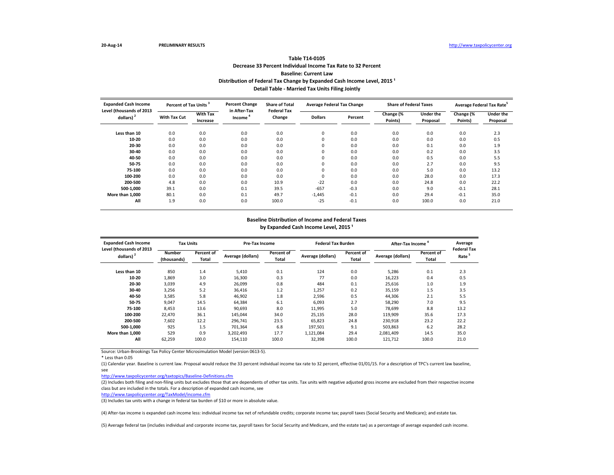# **Decrease 33 Percent Individual Income Tax Rate to 32 Percent Baseline: Current Law Table T14-0105** Distribution of Federal Tax Change by Expanded Cash Income Level, 2015<sup>1</sup> **Detail Table - Married Tax Units Filing Jointly**

| <b>Expanded Cash Income</b>                       | Percent of Tax Units <sup>3</sup> |                             | <b>Percent Change</b>  | <b>Share of Total</b><br><b>Federal Tax</b> | <b>Average Federal Tax Change</b> |         | <b>Share of Federal Taxes</b> |                              | Average Federal Tax Rate <sup>5</sup> |                              |
|---------------------------------------------------|-----------------------------------|-----------------------------|------------------------|---------------------------------------------|-----------------------------------|---------|-------------------------------|------------------------------|---------------------------------------|------------------------------|
| Level (thousands of 2013<br>dollars) <sup>2</sup> | <b>With Tax Cut</b>               | <b>With Tax</b><br>Increase | in After-Tax<br>Income | Change                                      | <b>Dollars</b>                    | Percent | Change (%<br>Points)          | <b>Under the</b><br>Proposal | Change (%<br>Points)                  | <b>Under the</b><br>Proposal |
| Less than 10                                      | 0.0                               | 0.0                         | 0.0                    | 0.0                                         | 0                                 | 0.0     | 0.0                           | 0.0                          | 0.0                                   | 2.3                          |
| 10-20                                             | 0.0                               | 0.0                         | 0.0                    | 0.0                                         | 0                                 | 0.0     | 0.0                           | 0.0                          | 0.0                                   | 0.5                          |
| 20-30                                             | 0.0                               | 0.0                         | 0.0                    | 0.0                                         | $\mathbf 0$                       | 0.0     | 0.0                           | 0.1                          | 0.0                                   | 1.9                          |
| 30-40                                             | 0.0                               | 0.0                         | 0.0                    | 0.0                                         | $\mathbf 0$                       | 0.0     | 0.0                           | 0.2                          | 0.0                                   | 3.5                          |
| 40-50                                             | 0.0                               | 0.0                         | 0.0                    | 0.0                                         | $\mathbf 0$                       | 0.0     | 0.0                           | 0.5                          | 0.0                                   | 5.5                          |
| 50-75                                             | 0.0                               | 0.0                         | 0.0                    | 0.0                                         | $\mathbf 0$                       | 0.0     | 0.0                           | 2.7                          | 0.0                                   | 9.5                          |
| 75-100                                            | 0.0                               | 0.0                         | 0.0                    | 0.0                                         | 0                                 | 0.0     | 0.0                           | 5.0                          | 0.0                                   | 13.2                         |
| 100-200                                           | 0.0                               | 0.0                         | 0.0                    | 0.0                                         | 0                                 | 0.0     | 0.0                           | 28.0                         | 0.0                                   | 17.3                         |
| 200-500                                           | 4.8                               | 0.0                         | 0.0                    | 10.9                                        | $-22$                             | 0.0     | 0.0                           | 24.8                         | 0.0                                   | 22.2                         |
| 500-1,000                                         | 39.1                              | 0.0                         | 0.1                    | 39.5                                        | $-657$                            | $-0.3$  | 0.0                           | 9.0                          | $-0.1$                                | 28.1                         |
| More than 1.000                                   | 80.1                              | 0.0                         | 0.1                    | 49.7                                        | $-1,445$                          | $-0.1$  | 0.0                           | 29.4                         | $-0.1$                                | 35.0                         |
| All                                               | 1.9                               | 0.0                         | 0.0                    | 100.0                                       | $-25$                             | $-0.1$  | 0.0                           | 100.0                        | 0.0                                   | 21.0                         |

#### **Baseline Distribution of Income and Federal Taxes** by Expanded Cash Income Level, 2015<sup>1</sup>

| <b>Expanded Cash Income</b><br>Level (thousands of 2013 | <b>Tax Units</b>      |                     | Pre-Tax Income    |                     | <b>Federal Tax Burden</b> |                     | After-Tax Income  | Average<br><b>Federal Tax</b> |                   |
|---------------------------------------------------------|-----------------------|---------------------|-------------------|---------------------|---------------------------|---------------------|-------------------|-------------------------------|-------------------|
| dollars) <sup>2</sup>                                   | Number<br>(thousands) | Percent of<br>Total | Average (dollars) | Percent of<br>Total | Average (dollars)         | Percent of<br>Total | Average (dollars) | Percent of<br>Total           | Rate <sup>5</sup> |
| Less than 10                                            | 850                   | 1.4                 | 5,410             | 0.1                 | 124                       | 0.0                 | 5,286             | 0.1                           | 2.3               |
| 10-20                                                   | 1.869                 | 3.0                 | 16.300            | 0.3                 | 77                        | 0.0                 | 16,223            | 0.4                           | 0.5               |
| 20-30                                                   | 3,039                 | 4.9                 | 26.099            | 0.8                 | 484                       | 0.1                 | 25.616            | 1.0                           | 1.9               |
| 30-40                                                   | 3,256                 | 5.2                 | 36.416            | 1.2                 | 1,257                     | 0.2                 | 35,159            | 1.5                           | 3.5               |
| 40-50                                                   | 3,585                 | 5.8                 | 46,902            | 1.8                 | 2,596                     | 0.5                 | 44,306            | 2.1                           | 5.5               |
| 50-75                                                   | 9,047                 | 14.5                | 64,384            | 6.1                 | 6,093                     | 2.7                 | 58,290            | 7.0                           | 9.5               |
| 75-100                                                  | 8,453                 | 13.6                | 90,693            | 8.0                 | 11,995                    | 5.0                 | 78.699            | 8.8                           | 13.2              |
| 100-200                                                 | 22.470                | 36.1                | 145.044           | 34.0                | 25,135                    | 28.0                | 119,909           | 35.6                          | 17.3              |
| 200-500                                                 | 7,602                 | 12.2                | 296,741           | 23.5                | 65,823                    | 24.8                | 230,918           | 23.2                          | 22.2              |
| 500-1,000                                               | 925                   | 1.5                 | 701,364           | 6.8                 | 197,501                   | 9.1                 | 503,863           | 6.2                           | 28.2              |
| More than 1.000                                         | 529                   | 0.9                 | 3,202,493         | 17.7                | 1,121,084                 | 29.4                | 2.081.409         | 14.5                          | 35.0              |
| All                                                     | 62,259                | 100.0               | 154,110           | 100.0               | 32,398                    | 100.0               | 121,712           | 100.0                         | 21.0              |

Source: Urban-Brookings Tax Policy Center Microsimulation Model (version 0613-5).

\* Less than 0.05

(1) Calendar year. Baseline is current law. Proposal would reduce the 33 percent individual income tax rate to 32 percent, effective 01/01/15. For a description of TPC's current law baseline, see

<http://www.taxpolicycenter.org/taxtopics/Baseline-Definitions.cfm>

(2) Includes both filing and non-filing units but excludes those that are dependents of other tax units. Tax units with negative adjusted gross income are excluded from their respective income class but are included in the totals. For a description of expanded cash income, see

<http://www.taxpolicycenter.org/TaxModel/income.cfm>

(3) Includes tax units with a change in federal tax burden of \$10 or more in absolute value.

(4) After-tax income is expanded cash income less: individual income tax net of refundable credits; corporate income tax; payroll taxes (Social Security and Medicare); and estate tax.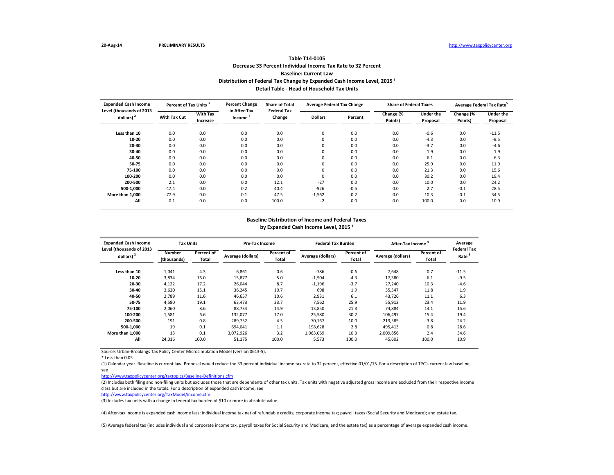# **Decrease 33 Percent Individual Income Tax Rate to 32 Percent Baseline: Current Law Table T14-0105** Distribution of Federal Tax Change by Expanded Cash Income Level, 2015<sup>1</sup> **Detail Table - Head of Household Tax Units**

| <b>Expanded Cash Income</b>                       | Percent of Tax Units <sup>3</sup> |                             | <b>Percent Change</b>  | <b>Share of Total</b><br><b>Federal Tax</b> | <b>Average Federal Tax Change</b> |         | <b>Share of Federal Taxes</b> |                              |                      | Average Federal Tax Rate <sup>5</sup> |
|---------------------------------------------------|-----------------------------------|-----------------------------|------------------------|---------------------------------------------|-----------------------------------|---------|-------------------------------|------------------------------|----------------------|---------------------------------------|
| Level (thousands of 2013<br>dollars) <sup>2</sup> | <b>With Tax Cut</b>               | <b>With Tax</b><br>Increase | in After-Tax<br>Income | Change                                      | <b>Dollars</b>                    | Percent | Change (%<br>Points)          | <b>Under the</b><br>Proposal | Change (%<br>Points) | <b>Under the</b><br>Proposal          |
| Less than 10                                      | 0.0                               | 0.0                         | 0.0                    | 0.0                                         | 0                                 | 0.0     | 0.0                           | $-0.6$                       | 0.0                  | $-11.5$                               |
| 10-20                                             | 0.0                               | 0.0                         | 0.0                    | 0.0                                         | $\mathbf 0$                       | 0.0     | 0.0                           | $-4.3$                       | 0.0                  | $-9.5$                                |
| 20-30                                             | 0.0                               | 0.0                         | 0.0                    | 0.0                                         | $\mathbf 0$                       | 0.0     | 0.0                           | $-3.7$                       | 0.0                  | $-4.6$                                |
| 30-40                                             | 0.0                               | 0.0                         | 0.0                    | 0.0                                         | 0                                 | 0.0     | 0.0                           | 1.9                          | 0.0                  | 1.9                                   |
| 40-50                                             | 0.0                               | 0.0                         | 0.0                    | 0.0                                         | $\mathbf 0$                       | 0.0     | 0.0                           | 6.1                          | 0.0                  | 6.3                                   |
| 50-75                                             | 0.0                               | 0.0                         | 0.0                    | 0.0                                         | $\mathbf 0$                       | 0.0     | 0.0                           | 25.9                         | 0.0                  | 11.9                                  |
| 75-100                                            | 0.0                               | 0.0                         | 0.0                    | 0.0                                         | 0                                 | 0.0     | 0.0                           | 21.3                         | 0.0                  | 15.6                                  |
| 100-200                                           | 0.0                               | 0.0                         | 0.0                    | 0.0                                         | 0                                 | 0.0     | 0.0                           | 30.2                         | 0.0                  | 19.4                                  |
| 200-500                                           | 2.1                               | 0.0                         | 0.0                    | 12.1                                        | $-27$                             | 0.0     | 0.0                           | 10.0                         | 0.0                  | 24.2                                  |
| 500-1.000                                         | 47.4                              | 0.0                         | 0.2                    | 40.4                                        | $-926$                            | $-0.5$  | 0.0                           | 2.7                          | $-0.1$               | 28.5                                  |
| More than 1,000                                   | 77.9                              | 0.0                         | 0.1                    | 47.5                                        | $-1,562$                          | $-0.2$  | 0.0                           | 10.3                         | $-0.1$               | 34.5                                  |
| All                                               | 0.1                               | 0.0                         | 0.0                    | 100.0                                       | $-2$                              | 0.0     | 0.0                           | 100.0                        | 0.0                  | 10.9                                  |

#### **Baseline Distribution of Income and Federal Taxes** by Expanded Cash Income Level, 2015<sup>1</sup>

| <b>Expanded Cash Income</b>                       | <b>Tax Units</b>      |                     | Pre-Tax Income    |                     | <b>Federal Tax Burden</b> |                     | <b>After-Tax Income</b> | Average             |                                         |
|---------------------------------------------------|-----------------------|---------------------|-------------------|---------------------|---------------------------|---------------------|-------------------------|---------------------|-----------------------------------------|
| Level (thousands of 2013<br>dollars) <sup>2</sup> | Number<br>(thousands) | Percent of<br>Total | Average (dollars) | Percent of<br>Total | Average (dollars)         | Percent of<br>Total | Average (dollars)       | Percent of<br>Total | <b>Federal Tax</b><br>Rate <sup>5</sup> |
| Less than 10                                      | 1,041                 | 4.3                 | 6,861             | 0.6                 | $-786$                    | $-0.6$              | 7,648                   | 0.7                 | $-11.5$                                 |
| 10-20                                             | 3.834                 | 16.0                | 15.877            | 5.0                 | $-1,504$                  | $-4.3$              | 17.380                  | 6.1                 | $-9.5$                                  |
| 20-30                                             | 4,122                 | 17.2                | 26.044            | 8.7                 | $-1,196$                  | $-3.7$              | 27.240                  | 10.3                | $-4.6$                                  |
| 30-40                                             | 3.620                 | 15.1                | 36,245            | 10.7                | 698                       | 1.9                 | 35,547                  | 11.8                | 1.9                                     |
| 40-50                                             | 2,789                 | 11.6                | 46.657            | 10.6                | 2,931                     | 6.1                 | 43.726                  | 11.1                | 6.3                                     |
| 50-75                                             | 4,580                 | 19.1                | 63,473            | 23.7                | 7,562                     | 25.9                | 55,912                  | 23.4                | 11.9                                    |
| 75-100                                            | 2,060                 | 8.6                 | 88.734            | 14.9                | 13,850                    | 21.3                | 74.884                  | 14.1                | 15.6                                    |
| 100-200                                           | 1,581                 | 6.6                 | 132.077           | 17.0                | 25,580                    | 30.2                | 106.497                 | 15.4                | 19.4                                    |
| 200-500                                           | 191                   | 0.8                 | 289,752           | 4.5                 | 70,167                    | 10.0                | 219,585                 | 3.8                 | 24.2                                    |
| 500-1,000                                         | 19                    | 0.1                 | 694,041           | 1.1                 | 198,628                   | 2.8                 | 495,413                 | 0.8                 | 28.6                                    |
| More than 1.000                                   | 13                    | 0.1                 | 3,072,926         | 3.2                 | 1,063,069                 | 10.3                | 2,009,856               | 2.4                 | 34.6                                    |
| All                                               | 24.016                | 100.0               | 51,175            | 100.0               | 5,573                     | 100.0               | 45.602                  | 100.0               | 10.9                                    |

Source: Urban-Brookings Tax Policy Center Microsimulation Model (version 0613-5).

\* Less than 0.05

(1) Calendar year. Baseline is current law. Proposal would reduce the 33 percent individual income tax rate to 32 percent, effective 01/01/15. For a description of TPC's current law baseline, see

<http://www.taxpolicycenter.org/taxtopics/Baseline-Definitions.cfm>

(2) Includes both filing and non-filing units but excludes those that are dependents of other tax units. Tax units with negative adjusted gross income are excluded from their respective income class but are included in the totals. For a description of expanded cash income, see

<http://www.taxpolicycenter.org/TaxModel/income.cfm>

(3) Includes tax units with a change in federal tax burden of \$10 or more in absolute value.

(4) After-tax income is expanded cash income less: individual income tax net of refundable credits; corporate income tax; payroll taxes (Social Security and Medicare); and estate tax.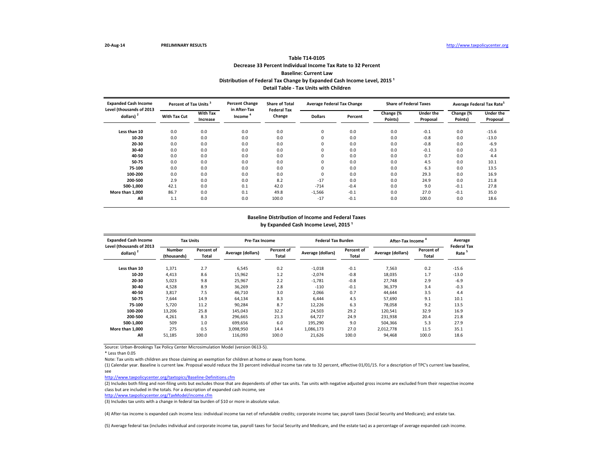# **Decrease 33 Percent Individual Income Tax Rate to 32 Percent Baseline: Current Law Table T14-0105** Distribution of Federal Tax Change by Expanded Cash Income Level, 2015<sup>1</sup> **Detail Table - Tax Units with Children**

| <b>Expanded Cash Income</b><br>Level (thousands of 2013 | Percent of Tax Units <sup>3</sup> |                             | <b>Percent Change</b><br>in After-Tax | <b>Share of Total</b><br><b>Federal Tax</b> | <b>Average Federal Tax Change</b> |         | <b>Share of Federal Taxes</b> |                       | Average Federal Tax Rate <sup>5</sup> |                              |
|---------------------------------------------------------|-----------------------------------|-----------------------------|---------------------------------------|---------------------------------------------|-----------------------------------|---------|-------------------------------|-----------------------|---------------------------------------|------------------------------|
| dollars) <sup>2</sup>                                   | <b>With Tax Cut</b>               | <b>With Tax</b><br>Increase | Income                                | Change                                      | <b>Dollars</b>                    | Percent | Change (%<br>Points)          | Under the<br>Proposal | Change (%<br>Points)                  | <b>Under the</b><br>Proposal |
| Less than 10                                            | 0.0                               | 0.0                         | 0.0                                   | 0.0                                         | 0                                 | 0.0     | 0.0                           | $-0.1$                | 0.0                                   | $-15.6$                      |
| 10-20                                                   | 0.0                               | 0.0                         | 0.0                                   | 0.0                                         | $\mathbf 0$                       | 0.0     | 0.0                           | $-0.8$                | 0.0                                   | $-13.0$                      |
| 20-30                                                   | 0.0                               | 0.0                         | 0.0                                   | 0.0                                         | 0                                 | 0.0     | 0.0                           | $-0.8$                | 0.0                                   | $-6.9$                       |
| 30-40                                                   | 0.0                               | 0.0                         | 0.0                                   | 0.0                                         | 0                                 | 0.0     | 0.0                           | $-0.1$                | 0.0                                   | $-0.3$                       |
| 40-50                                                   | 0.0                               | 0.0                         | 0.0                                   | 0.0                                         | 0                                 | 0.0     | 0.0                           | 0.7                   | 0.0                                   | 4.4                          |
| 50-75                                                   | 0.0                               | 0.0                         | 0.0                                   | 0.0                                         | 0                                 | 0.0     | 0.0                           | 4.5                   | 0.0                                   | 10.1                         |
| 75-100                                                  | 0.0                               | 0.0                         | 0.0                                   | 0.0                                         | 0                                 | 0.0     | 0.0                           | 6.3                   | 0.0                                   | 13.5                         |
| 100-200                                                 | 0.0                               | 0.0                         | 0.0                                   | 0.0                                         | $\mathbf 0$                       | 0.0     | 0.0                           | 29.3                  | 0.0                                   | 16.9                         |
| 200-500                                                 | 2.9                               | 0.0                         | 0.0                                   | 8.2                                         | $-17$                             | 0.0     | 0.0                           | 24.9                  | 0.0                                   | 21.8                         |
| 500-1,000                                               | 42.1                              | 0.0                         | 0.1                                   | 42.0                                        | $-714$                            | $-0.4$  | 0.0                           | 9.0                   | $-0.1$                                | 27.8                         |
| More than 1.000                                         | 86.7                              | 0.0                         | 0.1                                   | 49.8                                        | $-1,566$                          | $-0.1$  | 0.0                           | 27.0                  | $-0.1$                                | 35.0                         |
| All                                                     | 1.1                               | 0.0                         | 0.0                                   | 100.0                                       | $-17$                             | $-0.1$  | 0.0                           | 100.0                 | 0.0                                   | 18.6                         |

#### **Baseline Distribution of Income and Federal Taxes** by Expanded Cash Income Level, 2015<sup>1</sup>

| <b>Expanded Cash Income</b><br>Level (thousands of 2013 | <b>Tax Units</b>             |                     | Pre-Tax Income    |                            | <b>Federal Tax Burden</b> |                     | <b>After-Tax Income</b> |                     | Average<br><b>Federal Tax</b> |
|---------------------------------------------------------|------------------------------|---------------------|-------------------|----------------------------|---------------------------|---------------------|-------------------------|---------------------|-------------------------------|
| dollars) $2$                                            | <b>Number</b><br>(thousands) | Percent of<br>Total | Average (dollars) | Percent of<br><b>Total</b> | Average (dollars)         | Percent of<br>Total | Average (dollars)       | Percent of<br>Total | Rate <sup>5</sup>             |
| Less than 10                                            | 1,371                        | 2.7                 | 6,545             | 0.2                        | $-1,018$                  | $-0.1$              | 7,563                   | 0.2                 | $-15.6$                       |
| 10-20                                                   | 4,413                        | 8.6                 | 15,962            | 1.2                        | $-2,074$                  | $-0.8$              | 18,035                  | 1.7                 | $-13.0$                       |
| 20-30                                                   | 5,023                        | 9.8                 | 25,967            | 2.2                        | $-1,781$                  | $-0.8$              | 27.748                  | 2.9                 | $-6.9$                        |
| 30-40                                                   | 4,528                        | 8.9                 | 36,269            | 2.8                        | $-110$                    | $-0.1$              | 36,379                  | 3.4                 | $-0.3$                        |
| 40-50                                                   | 3,817                        | 7.5                 | 46,710            | 3.0                        | 2,066                     | 0.7                 | 44,644                  | 3.5                 | 4.4                           |
| 50-75                                                   | 7,644                        | 14.9                | 64,134            | 8.3                        | 6,444                     | 4.5                 | 57,690                  | 9.1                 | 10.1                          |
| 75-100                                                  | 5.720                        | 11.2                | 90,284            | 8.7                        | 12,226                    | 6.3                 | 78.058                  | 9.2                 | 13.5                          |
| 100-200                                                 | 13,206                       | 25.8                | 145,043           | 32.2                       | 24,503                    | 29.2                | 120,541                 | 32.9                | 16.9                          |
| 200-500                                                 | 4,261                        | 8.3                 | 296.665           | 21.3                       | 64,727                    | 24.9                | 231.938                 | 20.4                | 21.8                          |
| 500-1.000                                               | 509                          | 1.0                 | 699.656           | 6.0                        | 195.290                   | 9.0                 | 504,366                 | 5.3                 | 27.9                          |
| More than 1.000                                         | 275                          | 0.5                 | 3.098.950         | 14.4                       | 1.086.173                 | 27.0                | 2.012.778               | 11.5                | 35.1                          |
| All                                                     | 51,185                       | 100.0               | 116.093           | 100.0                      | 21,626                    | 100.0               | 94,468                  | 100.0               | 18.6                          |

Source: Urban-Brookings Tax Policy Center Microsimulation Model (version 0613-5).

\* Less than 0.05

Note: Tax units with children are those claiming an exemption for children at home or away from home.

(1) Calendar year. Baseline is current law. Proposal would reduce the 33 percent individual income tax rate to 32 percent, effective 01/01/15. For a description of TPC's current law baseline, see

<http://www.taxpolicycenter.org/taxtopics/Baseline-Definitions.cfm>

(2) Includes both filing and non-filing units but excludes those that are dependents of other tax units. Tax units with negative adjusted gross income are excluded from their respective income class but are included in the totals. For a description of expanded cash income, see

<http://www.taxpolicycenter.org/TaxModel/income.cfm>

(3) Includes tax units with a change in federal tax burden of \$10 or more in absolute value.

(4) After-tax income is expanded cash income less: individual income tax net of refundable credits; corporate income tax; payroll taxes (Social Security and Medicare); and estate tax.